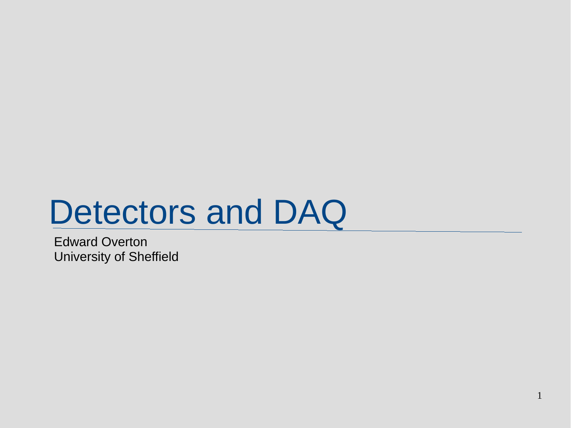# Detectors and DAQ

Edward Overton University of Sheffield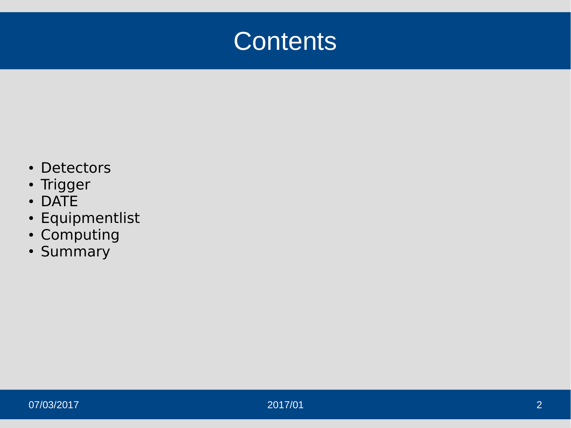#### **Contents**

- Detectors
- Trigger
- DATE
- Equipmentlist
- Computing
- Summary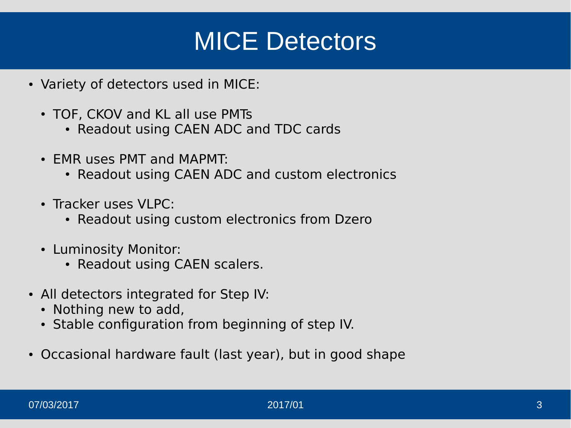#### MICE Detectors

- Variety of detectors used in MICE:
	- TOF, CKOV and KL all use PMTs
		- Readout using CAEN ADC and TDC cards
	- EMR uses PMT and MAPMT:
		- Readout using CAEN ADC and custom electronics
	- Tracker uses VI PC:
		- Readout using custom electronics from Dzero
	- Luminosity Monitor:
		- Readout using CAEN scalers.
- All detectors integrated for Step IV:
	- Nothing new to add,
	- Stable configuration from beginning of step IV.
- Occasional hardware fault (last year), but in good shape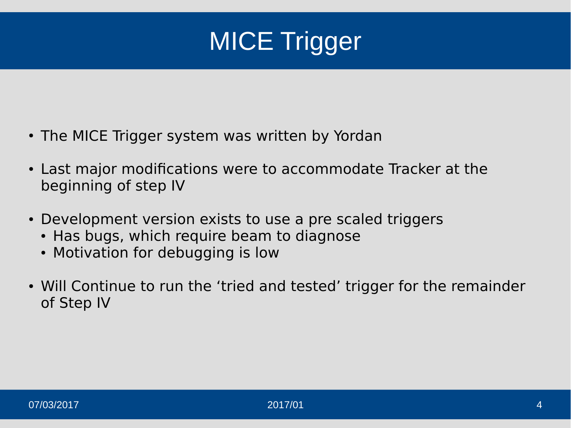

- The MICE Trigger system was written by Yordan
- Last major modifications were to accommodate Tracker at the beginning of step IV
- Development version exists to use a pre scaled triggers
	- Has bugs, which require beam to diagnose
	- Motivation for debugging is low
- Will Continue to run the 'tried and tested' trigger for the remainder of Step IV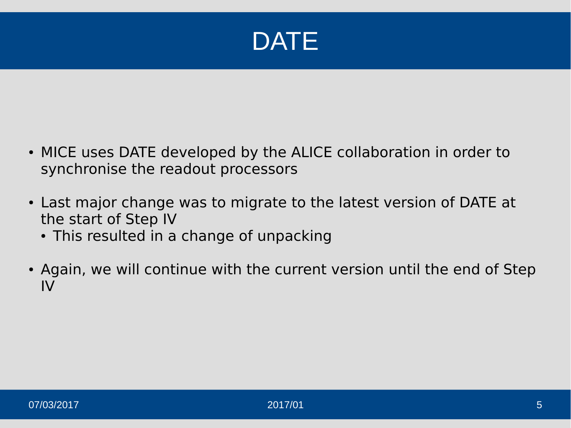

- MICE uses DATE developed by the ALICE collaboration in order to synchronise the readout processors
- Last major change was to migrate to the latest version of DATE at the start of Step IV
	- This resulted in a change of unpacking
- Again, we will continue with the current version until the end of Step IV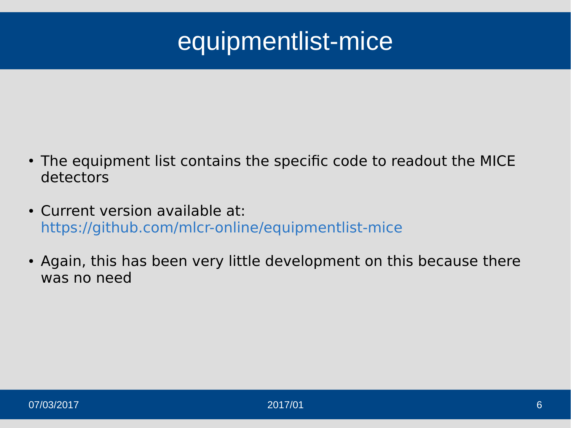### equipmentlist-mice

- The equipment list contains the specific code to readout the MICE detectors
- Current version available at: <https://github.com/mlcr-online/equipmentlist-mice>
- Again, this has been very little development on this because there was no need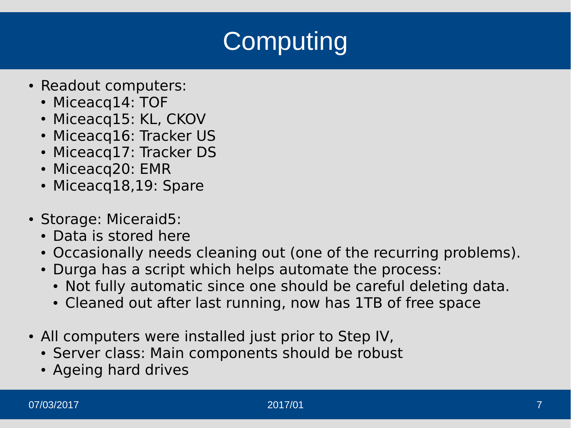## **Computing**

- Readout computers:
	- Miceacq14: TOF
	- Miceacq15: KL, CKOV
	- Miceacq16: Tracker US
	- Miceacq17: Tracker DS
	- Miceacq20: EMR
	- Miceacq18,19: Spare
- Storage: Miceraid5:
	- Data is stored here
	- Occasionally needs cleaning out (one of the recurring problems).
	- Durga has a script which helps automate the process:
		- Not fully automatic since one should be careful deleting data.
		- Cleaned out after last running, now has 1TB of free space
- All computers were installed just prior to Step IV,
	- Server class: Main components should be robust
	- Ageing hard drives